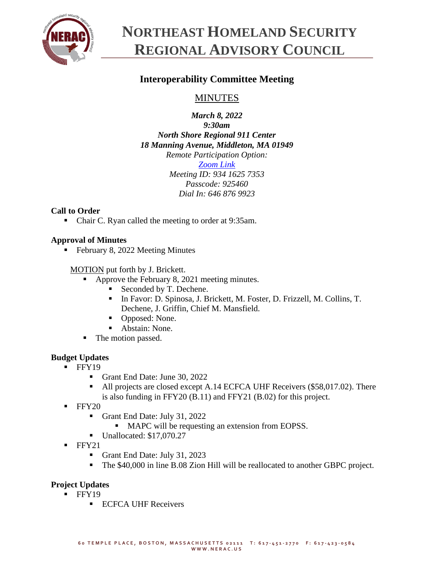

# **NORTHEAST HOMELAND SECURITY REGIONAL ADVISORY COUNCIL**

# **Interoperability Committee Meeting**

# MINUTES

*March 8, 2022 9:30am North Shore Regional 911 Center 18 Manning Avenue, Middleton, MA 01949 Remote Participation Option: [Zoom Link](https://zoom.us/j/93416257353?pwd=cTIzRzc2dGJndFppYzVid0Evc2ljdz09) Meeting ID: 934 1625 7353 Passcode: 925460 Dial In: 646 876 9923*

### **Call to Order**

■ Chair C. Ryan called the meeting to order at 9:35am.

# **Approval of Minutes**

■ February 8, 2022 Meeting Minutes

MOTION put forth by J. Brickett.

- Approve the February 8, 2021 meeting minutes.
	- Seconded by T. Dechene.
	- In Favor: D. Spinosa, J. Brickett, M. Foster, D. Frizzell, M. Collins, T. Dechene, J. Griffin, Chief M. Mansfield.
	- Opposed: None.
	- Abstain: None.
- The motion passed.

# **Budget Updates**

- $\blacksquare$  FFY19
	- Grant End Date: June 30, 2022
	- All projects are closed except A.14 ECFCA UHF Receivers (\$58,017.02). There is also funding in FFY20 (B.11) and FFY21 (B.02) for this project.
- FFY20
	- Grant End Date: July 31, 2022
		- MAPC will be requesting an extension from EOPSS.
	- Unallocated: \$17,070.27
- $\blacksquare$  FFY21
	- Grant End Date: July 31, 2023
	- The \$40,000 in line B.08 Zion Hill will be reallocated to another GBPC project.

# **Project Updates**

- $\blacksquare$  FFY19
	- **ECFCA UHF Receivers**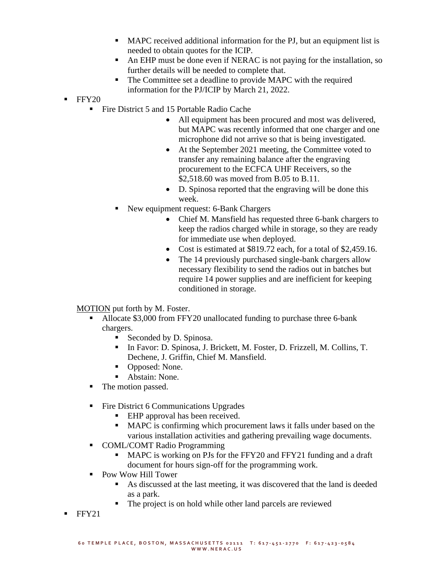- **MAPC** received additional information for the PJ, but an equipment list is needed to obtain quotes for the ICIP.
- An EHP must be done even if NERAC is not paying for the installation, so further details will be needed to complete that.
- The Committee set a deadline to provide MAPC with the required information for the PJ/ICIP by March 21, 2022.
- $FFY20$ 
	- Fire District 5 and 15 Portable Radio Cache
		- All equipment has been procured and most was delivered, but MAPC was recently informed that one charger and one microphone did not arrive so that is being investigated.
		- At the September 2021 meeting, the Committee voted to transfer any remaining balance after the engraving procurement to the ECFCA UHF Receivers, so the \$2,518.60 was moved from B.05 to B.11.
		- D. Spinosa reported that the engraving will be done this week.
		- New equipment request: 6-Bank Chargers
			- Chief M. Mansfield has requested three 6-bank chargers to keep the radios charged while in storage, so they are ready for immediate use when deployed.
			- Cost is estimated at \$819.72 each, for a total of \$2,459.16.
			- The 14 previously purchased single-bank chargers allow necessary flexibility to send the radios out in batches but require 14 power supplies and are inefficient for keeping conditioned in storage.

MOTION put forth by M. Foster.

- Allocate \$3,000 from FFY20 unallocated funding to purchase three 6-bank chargers.
	- Seconded by D. Spinosa.
	- In Favor: D. Spinosa, J. Brickett, M. Foster, D. Frizzell, M. Collins, T. Dechene, J. Griffin, Chief M. Mansfield.
	- Opposed: None.
	- Abstain: None.
- The motion passed.
- Fire District 6 Communications Upgrades
	- **EHP** approval has been received.
	- MAPC is confirming which procurement laws it falls under based on the various installation activities and gathering prevailing wage documents.
- COML/COMT Radio Programming
	- MAPC is working on PJs for the FFY20 and FFY21 funding and a draft document for hours sign-off for the programming work.
- Pow Wow Hill Tower
	- As discussed at the last meeting, it was discovered that the land is deeded as a park.
	- The project is on hold while other land parcels are reviewed
- FFY21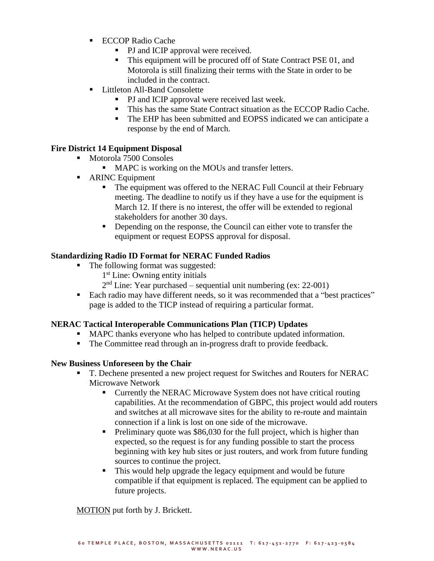- ECCOP Radio Cache
	- PJ and ICIP approval were received.
	- This equipment will be procured off of State Contract PSE 01, and Motorola is still finalizing their terms with the State in order to be included in the contract.
- Littleton All-Band Consolette
	- PJ and ICIP approval were received last week.
	- This has the same State Contract situation as the ECCOP Radio Cache.
	- The EHP has been submitted and EOPSS indicated we can anticipate a response by the end of March.

#### **Fire District 14 Equipment Disposal**

- Motorola 7500 Consoles
	- MAPC is working on the MOUs and transfer letters.
- ARINC Equipment
	- The equipment was offered to the NERAC Full Council at their February meeting. The deadline to notify us if they have a use for the equipment is March 12. If there is no interest, the offer will be extended to regional stakeholders for another 30 days.
	- **•** Depending on the response, the Council can either vote to transfer the equipment or request EOPSS approval for disposal.

#### **Standardizing Radio ID Format for NERAC Funded Radios**

- The following format was suggested:
	- 1 st Line: Owning entity initials
	- 2<sup>nd</sup> Line: Year purchased sequential unit numbering (ex: 22-001)
- Each radio may have different needs, so it was recommended that a "best practices" page is added to the TICP instead of requiring a particular format.

#### **NERAC Tactical Interoperable Communications Plan (TICP) Updates**

- MAPC thanks everyone who has helped to contribute updated information.
- The Committee read through an in-progress draft to provide feedback.

#### **New Business Unforeseen by the Chair**

- T. Dechene presented a new project request for Switches and Routers for NERAC Microwave Network
	- Currently the NERAC Microwave System does not have critical routing capabilities. At the recommendation of GBPC, this project would add routers and switches at all microwave sites for the ability to re-route and maintain connection if a link is lost on one side of the microwave.
	- Preliminary quote was \$86,030 for the full project, which is higher than expected, so the request is for any funding possible to start the process beginning with key hub sites or just routers, and work from future funding sources to continue the project.
	- This would help upgrade the legacy equipment and would be future compatible if that equipment is replaced. The equipment can be applied to future projects.

MOTION put forth by J. Brickett.